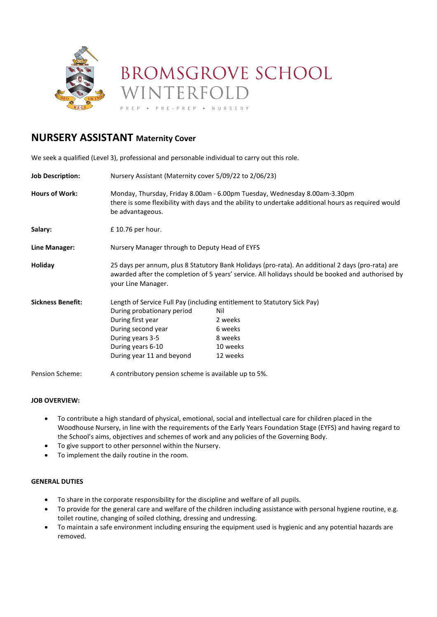

# **BROMSGROVE SCHOOL** VINTERFOLD

PREP . NURSERY

# **NURSERY ASSISTANT Maternity Cover**

We seek a qualified (Level 3), professional and personable individual to carry out this role.

| <b>Job Description:</b>  | Nursery Assistant (Maternity cover 5/09/22 to 2/06/23)                                                                                                                                                                       |          |
|--------------------------|------------------------------------------------------------------------------------------------------------------------------------------------------------------------------------------------------------------------------|----------|
| <b>Hours of Work:</b>    | Monday, Thursday, Friday 8.00am - 6.00pm Tuesday, Wednesday 8.00am-3.30pm<br>there is some flexibility with days and the ability to undertake additional hours as required would<br>be advantageous.                         |          |
| Salary:                  | £10.76 per hour.                                                                                                                                                                                                             |          |
| Line Manager:            | Nursery Manager through to Deputy Head of EYFS                                                                                                                                                                               |          |
| Holiday                  | 25 days per annum, plus 8 Statutory Bank Holidays (pro-rata). An additional 2 days (pro-rata) are<br>awarded after the completion of 5 years' service. All holidays should be booked and authorised by<br>your Line Manager. |          |
| <b>Sickness Benefit:</b> | Length of Service Full Pay (including entitlement to Statutory Sick Pay)                                                                                                                                                     |          |
|                          | During probationary period                                                                                                                                                                                                   | Nil      |
|                          | During first year                                                                                                                                                                                                            | 2 weeks  |
|                          | During second year                                                                                                                                                                                                           | 6 weeks  |
|                          | During years 3-5                                                                                                                                                                                                             | 8 weeks  |
|                          | During years 6-10                                                                                                                                                                                                            | 10 weeks |
|                          | During year 11 and beyond                                                                                                                                                                                                    | 12 weeks |
| Pension Scheme:          | A contributory pension scheme is available up to 5%.                                                                                                                                                                         |          |

# **JOB OVERVIEW:**

- To contribute a high standard of physical, emotional, social and intellectual care for children placed in the Woodhouse Nursery, in line with the requirements of the Early Years Foundation Stage (EYFS) and having regard to the School's aims, objectives and schemes of work and any policies of the Governing Body.
- To give support to other personnel within the Nursery.
- To implement the daily routine in the room.

# **GENERAL DUTIES**

- To share in the corporate responsibility for the discipline and welfare of all pupils.
- To provide for the general care and welfare of the children including assistance with personal hygiene routine, e.g. toilet routine, changing of soiled clothing, dressing and undressing.
- To maintain a safe environment including ensuring the equipment used is hygienic and any potential hazards are removed.